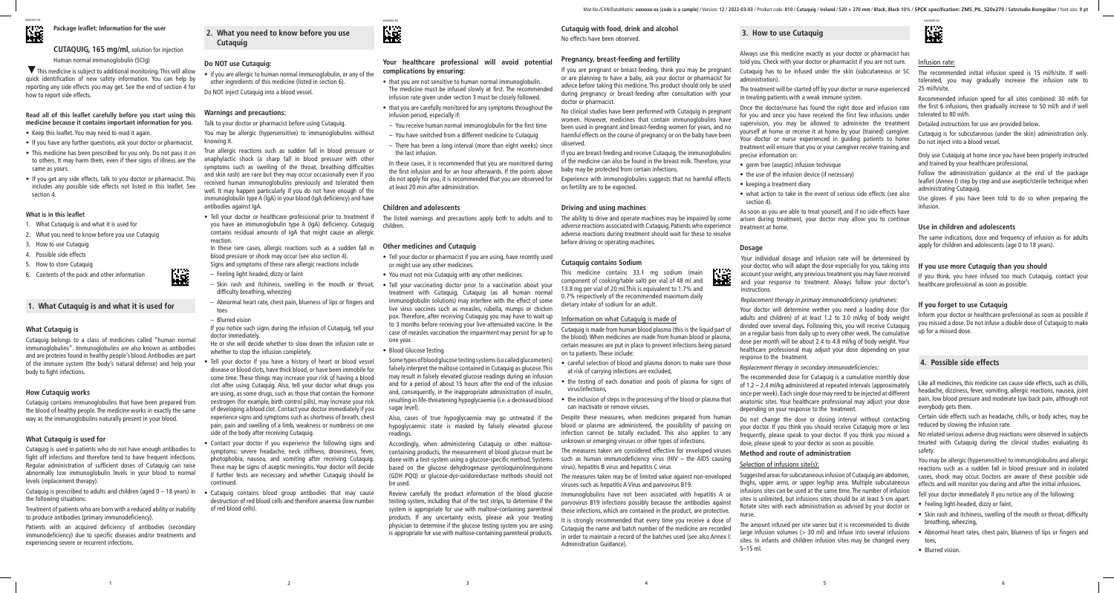

**2. What you need to know before you use Cutaquig**

#### **Do NOT use Cutaquig:**

• if you are allergic to human normal immunoglobulin, or any of the other ingredients of this medicine (listed in section 6).

Do NOT inject Cutaquig into a blood vessel.

#### **Warnings and precautions:**

Talk to your doctor or pharmacist before using Cutaquig.

You may be allergic (hypersensitive) to immunoglobulins without knowing it.

True allergic reactions such as sudden fall in blood pressure or anaphylactic shock (a sharp fall in blood pressure with other symptoms such as swelling of the throat, breathing difficulties and skin rash) are rare but they may occur occasionally even if you received human immunoglobulins previously and tolerated them well. It may happen particularly if you do not have enough of the immunoglobulin type A (IgA) in your blood (IgA deficiency) and have antibodies against IgA.

• Tell your doctor or healthcare professional prior to treatment if you have an immunoglobulin type A (IgA) deficiency. Cutaquig children. contains residual amounts of IgA that might cause an allergic reaction.

In these rare cases, allergic reactions such as a sudden fall in blood pressure or shock may occur (see also section 4). Signs and symptoms of these rare allergic reactions include

- Feeling light headed, dizzy or faint
- Skin rash and itchiness, swelling in the mouth or throat, difficulty breathing, wheezing
- Abnormal heart rate, chest pain, blueness of lips or fingers and toes
- Blurred vision

If you notice such signs during the infusion of Cutaquig, tell your doctor immediately.

He or she will decide whether to slow down the infusion rate or whether to stop the infusion completely.

• Tell your doctor if you have a history of heart or blood vessel disease or blood clots, have thick blood, or have been immobile for some time. These things may increase your risk of having a blood clot after using Cutaquig. Also, tell your doctor what drugs you are using, as some drugs, such as those that contain the hormone oestrogen (for example, birth control pills), may increase your risk of developing a blood clot. Contact your doctor immediately if you experience signs and symptoms such as shortness of breath, chest pain, pain and swelling of a limb, weakness or numbness on one side of the body after receiving Cutaquig.

• Contact your doctor if you experience the following signs and symptoms: severe headache, neck stiffness, drowsiness, fever, photophobia, nausea, and vomiting after receiving Cutaquig. These may be signs of aseptic meningitis. Your doctor will decide if further tests are necessary and whether Cutaquig should be continued.

• Cutaquig contains blood group antibodies that may cause destruction of red blood cells and therefore anaemia (low number of red blood cells).



### **Your healthcare professional will avoid potential complications by ensuring:**

- that you are not sensitive to human normal immunoglobulin. The medicine must be infused slowly at first. The recommended infusion rate given under section 3 must be closely followed.
- that you are carefully monitored for any symptoms throughout the infusion period, especially if:
- You receive human normal immunoglobulin for the first time
- You have switched from a different medicine to Cutaquig
- There has been a long interval (more than eight weeks) since the last infusion.

In these cases, it is recommended that you are monitored during the first infusion and for an hour afterwards. If the points above do not apply for you, it is recommended that you are observed for at least 20 min after administration.

#### **Children and adolescents**

The listed warnings and precautions apply both to adults and to

#### **Other medicines and Cutaquig**

- Tell your doctor or pharmacist if you are using, have recently used or might use any other medicines.
- You must not mix Cutaquig with any other medicines.
- Tell your vaccinating doctor prior to a vaccination about your treatment with Cutaquig. Cutaquig (as all human normal immunoglobulin solutions) may interfere with the effect of some live virus vaccines such as measles, rubella, mumps or chicken pox. Therefore, after receiving Cutaquig you may have to wait up to 3 months before receiving your live-attenuated vaccine. In the case of measles vaccination the impairment may persist for up to one year.

#### • Blood Glucose Testing

Some types of blood glucose testing systems (so called glucometers) falsely interpret the maltose contained in Cutaquig as glucose. This may result in falsely elevated glucose readings during an infusion and for a period of about 15 hours after the end of the infusion and, consequently, in the inappropriate administration of insulin, resulting in life-threatening hypoglycaemia (i.e. a decreased blood sugar level).

Also, cases of true hypoglycaemia may go untreated if the hypoglycaemic state is masked by falsely elevated glucose readings.

Accordingly, when administering Cutaquig or other maltosecontaining products, the measurement of blood glucose must be done with a test-system using a glucose-specific method. Systems based on the glucose dehydrogenase pyrroloquinolinequinone (GDH PQQ) or glucose-dye-oxidoreductase methods should not be used.

Review carefully the product information of the blood glucose testing system, including that of the test strips, to determine if the system is appropriate for use with maltose-containing parenteral products. If any uncertainty exists, please ask your treating physician to determine if the glucose testing system you are using is appropriate for use with maltose-containing parenteral products.

# **Cutaquig with food, drink and alcohol**

No effects have been observed.

# **Pregnancy, breast-feeding and fertility**

of the medicine can also be found in the breast milk. Therefore, your baby may be protected from certain infections. Experience with immunoglobulins suggests that no harmful effects on fertility are to be expected.

# **Driving and using machines**

The ability to drive and operate machines may be impaired by some adverse reactions associated with Cutaquig. Patients who experience adverse reactions during treatment should wait for these to resolve before driving or operating machines.

#### **Cutaquig contains Sodium**

This medicine contains 33.1 mg sodium (main component of cooking/table salt) per vial of 48 ml and 13.8 mg per vial of 20 ml.This is equivalent to 1.7% and 0.7% respectively of the recommended maximum daily dietary intake of sodium for an adult.

# Information on what Cutaquig is made of Cutaquig is made from human blood plasma (this is the liquid part of the blood). When medicines are made from human blood or plasma,

certain measures are put in place to prevent infections being passed on to patients. These include:

- careful selection of blood and plasma donors to make sure those at risk of carrying infections are excluded,
- the testing of each donation and pools of plasma for signs of virus/infections,
- the inclusion of steps in the processing of the blood or plasma that can inactivate or remove viruses.

such as human immunodeficiency virus (HIV – the AIDS causing virus), hepatitis B virus and hepatitis C virus

Cutaquig is prescribed to adults and children (aged  $0 - 18$  years) in the following situations:

# **3. How to use Cutaquig**

Always use this medicine exactly as your doctor or pharmacist has told you. Check with your doctor or pharmacist if you are not sure.

If you are pregnant or breast-feeding, think you may be pregnant or are planning to have a baby, ask your doctor or pharmacist for advice before taking this medicine. This product should only be used during pregnancy or breast-feeding after consultation with your doctor or pharmacist. Cutaquig has to be infused under the skin (subcutaneous or SC administration). The treatment will be started off by your doctor or nurse experienced in treating patients with a weak immune system. The recommended initial infusion speed is 15 ml/h/site. If welltolerated, you may gradually increase the infusion rate to 25 ml/h/site. Recommended infusion speed for all sites combined: 30 ml/h for

No clinical studies have been performed with Cutaquig in pregnant women. However, medicines that contain immunoglobulins have been used in pregnant and breast-feeding women for years, and no harmful effects on the course of pregnancy or on the baby have been observed. If you are breast-feeding and receive Cutaquig, the immunoglobulins Once the doctor/nurse has found the right dose and infusion rate for you and once you have received the first few infusions under supervision, you may be allowed to administer the treatment yourself at home or receive it at home by your (trained) caregiver. Your doctor or nurse experienced in guiding patients to home treatment will ensure that you or your caregiver receive training and precise information on: tolerated to 80 ml/h. Detailed instructions for use are provided below. Cutaquig is for subcutaneous (under the skin) administration only. Do not inject into a blood vessel. Only use Cutaquig at home once you have been properly instructed

- germ free (aseptic) infusion technique
- the use of the infusion device (if necessary)
- keeping a treatment diary
- what action to take in the event of serious side effects (see also section 4).

As soon as you are able to treat yourself, and if no side effects have arisen during treatment, your doctor may allow you to continue treatment at home.

#### **Dosage**



Your individual dosage and infusion rate will be determined by

The measures taken may be of limited value against non-enveloped viruses such as hepatitis A Virus and parvovirus B19. Immunoglobulins have not been associated with hepatitis A or parvovirus B19 infections possibly because the antibodies against these infections, which are contained in the product, are protective. Suggested areas for subcutaneous infusion of Cutaquig are abdomen, thighs, upper arms, or upper leg/hip area. Multiple subcutaneous infusions sites can be used at the same time. The number of infusion sites is unlimited, but infusions sites should be at least 5 cm apart. Rotate sites with each administration as advised by your doctor or nurse.

your doctor, who will adapt the dose especially for you, taking into account your weight, any previous treatment you may have received and your response to treatment. Always follow your doctor's instructions.

*Replacement therapy in primary immunodeficiency syndromes:*

It is strongly recommended that every time you receive a dose of Cutaquig the name and batch number of the medicine are recorded in order to maintain a record of the batches used (see also Annex I: Administration Guidance). The amount infused per site varies but it is recommended to divide large infusion volumes  $(> 30$  ml) and infuse into several infusions sites. In infants and children infusion sites may be changed every 5–15 ml.

Your doctor will determine wether you need a loading dose (for adults and children) of at least 1.2 to 3.0 ml/kg of body weight divided over several days. Following this, you will receive Cutaquig on a regular basis from daily up to every other week. The cumulative dose per month will be about 2.4 to 4.8 ml/kg of body weight. Your healthcare professional may adjust your dose depending on your response to the treatment.

*Replacement therapy in secondary immunodeficiencies:*

The recommended dose for Cutaquig is a cumulative monthly dose of 1.2 – 2.4 ml/kg administered at repeated intervals (approximately once per week). Each single dose may need to be injected at different anatomic sites. Your healthcare professional may adjust your dose depending on your response to the treatment.

Despite these measures, when medicines prepared from human blood or plasma are administered, the possibility of passing on infection cannot be totally excluded. This also applies to any unknown or emerging viruses or other types of infections. The measures taken are considered effective for enveloped viruses Do not change the dose or dosing interval without contacting your doctor. If you think you should receive Cutaquig more or less frequently, please speak to your doctor. If you think you missed a dose, please speak to your doctor as soon as possible. Certain side effects such as headache, chills, or body aches, may be reduced by slowing the infusion rate. No related serious adverse drug reactions were observed in subjects treated with Cutaquig during the clinical studies evaluating its safety.

### **Method and route of administration**

#### Selection of infusions site(s):



鼷

Mat-No./CAN/DataMatrix: xxxxxxx-xx (code is a sample) / Version: 12 / 2022-03-03 / Product code: 810 / Cutaquig / Ireland / 520 x 270 mm / Black, Black 10% / SPCK specification: ZMS\_PIL\_520x270 / Satzstudio Borngräber / fo

#### Infusion rate:

the first 6 infusions, then gradually increase to 50 ml/h and if well

and trained by your healthcare professional.

Follow the administration guidance at the end of the package leaflet (Annex I) step by step and use aseptic/sterile technique when administrating Cutaquig.

Use gloves if you have been told to do so when preparing the infusion.

#### **Use in children and adolescents**

The same indications, dose and frequency of infusion as for adults apply for children and adolescents (age 0 to 18 years).

#### **If you use more Cutaquig than you should**

If you think, you have infused too much Cutaquig, contact your healthcare professional as soon as possible.

#### **If you forget to use Cutaquig**

Inform your doctor or healthcare professional as soon as possible if you missed a dose. Do not infuse a double dose of Cutaquig to make up for a missed dose.

# **4. Possible side effects**

Like all medicines, this medicine can cause side effects, such as chills, headache, dizziness, fever, vomiting, allergic reactions, nausea, joint pain, low blood pressure and moderate low back pain, although not everybody gets them.

You may be allergic (hypersensitive) to immunoglobulins and allergic reactions such as a sudden fall in blood pressure and in isolated cases, shock may occur. Doctors are aware of these possible side effects and will monitor you during and after the initial infusions.

- Tell your doctor immediately if you notice any of the following:
- Feeling light-headed, dizzy or faint,
- Skin rash and itchiness, swelling of the mouth or throat, difficulty breathing, wheezing,
- Abnormal heart rates, chest pain, blueness of lips or fingers and toes,
- Blurred vision.

**Package leaflet: Information for the user**

# **CUTAQUIG, 165 mg/ml**, solution for injection Human normal immunoglobulin (SCIg)

This medicine is subject to additional monitoring. This will allow quick identification of new safety information. You can help by reporting any side effects you may get. See the end of section 4 for how to report side effects.

#### **Read all of this leaflet carefully before you start using this medicine because it contains important information for you.**

- Keep this leaflet. You may need to read it again.
- If you have any further questions, ask your doctor or pharmacist.
- This medicine has been prescribed for you only. Do not pass it on to others. It may harm them, even if their signs of illness are the same as yours.
- If you get any side effects, talk to you doctor or pharmacist. This includes any possible side effects not listed in this leaflet. See section 4.

#### **What is in this leaflet**

- 1. What Cutaquig is and what it is used for
- 2. What you need to know before you use Cutaquig
- 3. How to use Cutaquig
- 4. Possible side effects
- 5. How to store Cutaquig
- 6. Contents of the pack and other information

# **1. What Cutaquig is and what it is used for**

#### **What Cutaquig is**

Cutaquig belongs to a class of medicines called "human normal immunoglobulins". Immunoglobulins are also known as antibodies and are proteins found in healthy people's blood. Antibodies are part of the immune system (the body's natural defense) and help your body to fight infections.

#### **How Cutaquig works**

Cutaquig contains immunoglobulins that have been prepared from the blood of healthy people. The medicine works in exactly the same way as the immunoglobulins naturally present in your blood.

#### **What Cutaquig is used for**

Cutaquig is used in patients who do not have enough antibodies to fight off infections and therefore tend to have frequent infections. Regular administration of sufficient doses of Cutaquig can raise abnormally low immunoglobulin levels in your blood to normal levels (replacement therapy).

Treatment of patients who are born with a reduced ability or inability to produce antibodies (primary immunodeficiency).

Patients with an acquired deficiency of antibodies (secondary immunodeficiency) due to specific diseases and/or treatments and experiencing severe or recurrent infections.

xxxxxxx-xx

歴